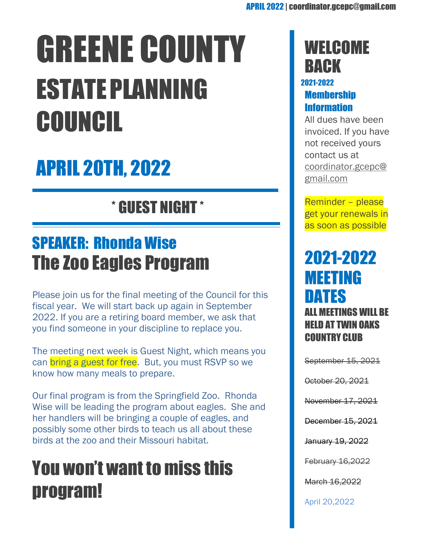# GREENE COUNTY ESTATEPLANNING COUNCIL

# APRIL 20TH, 2022

\* GUEST NIGHT \*

## SPEAKER: Rhonda Wise The Zoo Eagles Program

Please join us for the final meeting of the Council for this fiscal year. We will start back up again in September 2022. If you are a retiring board member, we ask that you find someone in your discipline to replace you.

The meeting next week is Guest Night, which means you can **bring a guest for free.** But, you must RSVP so we know how many meals to prepare.

Our final program is from the Springfield Zoo. Rhonda Wise will be leading the program about eagles. She and her handlers will be bringing a couple of eagles, and possibly some other birds to teach us all about these birds at the zoo and their Missouri habitat.

# You won't want to miss this program!

### **WELCOME BACK**

#### 2021-2022 **Membership** Information

All dues have been invoiced. If you have not received yours contact us at [coordinator.gcepc@](mailto:coordinator.gcepc@gmail.com) [gmail.com](mailto:coordinator.gcepc@gmail.com)

Reminder – please get your renewals in as soon as possible

### 2021-2022 MEETING DATES ALL MEETINGS WILL BE HELD AT TWIN OAKS COUNTRY CLUB

September 15, 2021

October 20, 2021

November 17, 2021

December 15, 2021

January 19, 2022

February 16,2022

March 16,2022

April 20,2022